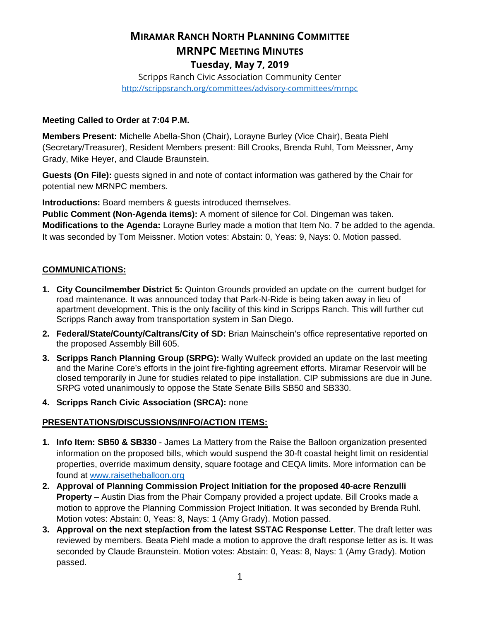# **MIRAMAR RANCH NORTH PLANNING COMMITTEE MRNPC MEETING MINUTES Tuesday, May 7, 2019**

Scripps Ranch Civic Association Community Center <http://scrippsranch.org/committees/advisory-committees/mrnpc>

#### **Meeting Called to Order at 7:04 P.M.**

**Members Present:** Michelle Abella-Shon (Chair), Lorayne Burley (Vice Chair), Beata Piehl (Secretary/Treasurer), Resident Members present: Bill Crooks, Brenda Ruhl, Tom Meissner, Amy Grady, Mike Heyer, and Claude Braunstein.

**Guests (On File):** guests signed in and note of contact information was gathered by the Chair for potential new MRNPC members.

**Introductions:** Board members & guests introduced themselves.

**Public Comment (Non-Agenda items):** A moment of silence for Col. Dingeman was taken. **Modifications to the Agenda:** Lorayne Burley made a motion that Item No. 7 be added to the agenda. It was seconded by Tom Meissner. Motion votes: Abstain: 0, Yeas: 9, Nays: 0. Motion passed.

## **COMMUNICATIONS:**

- **1. City Councilmember District 5:** Quinton Grounds provided an update on the current budget for road maintenance. It was announced today that Park-N-Ride is being taken away in lieu of apartment development. This is the only facility of this kind in Scripps Ranch. This will further cut Scripps Ranch away from transportation system in San Diego.
- **2. Federal/State/County/Caltrans/City of SD:** Brian Mainschein's office representative reported on the proposed Assembly Bill 605.
- **3. Scripps Ranch Planning Group (SRPG):** Wally Wulfeck provided an update on the last meeting and the Marine Core's efforts in the joint fire-fighting agreement efforts. Miramar Reservoir will be closed temporarily in June for studies related to pipe installation. CIP submissions are due in June. SRPG voted unanimously to oppose the State Senate Bills SB50 and SB330.
- **4. Scripps Ranch Civic Association (SRCA):** none

## **PRESENTATIONS/DISCUSSIONS/INFO/ACTION ITEMS:**

- **1. Info Item: SB50 & SB330** James La Mattery from the Raise the Balloon organization presented information on the proposed bills, which would suspend the 30-ft coastal height limit on residential properties, override maximum density, square footage and CEQA limits. More information can be found at [www.raisetheballoon.org](http://www.raisetheballoon.org/)
- **2. Approval of Planning Commission Project Initiation for the proposed 40-acre Renzulli Property** – Austin Dias from the Phair Company provided a project update. Bill Crooks made a motion to approve the Planning Commission Project Initiation. It was seconded by Brenda Ruhl. Motion votes: Abstain: 0, Yeas: 8, Nays: 1 (Amy Grady). Motion passed.
- **3. Approval on the next step/action from the latest SSTAC Response Letter**. The draft letter was reviewed by members. Beata Piehl made a motion to approve the draft response letter as is. It was seconded by Claude Braunstein. Motion votes: Abstain: 0, Yeas: 8, Nays: 1 (Amy Grady). Motion passed.